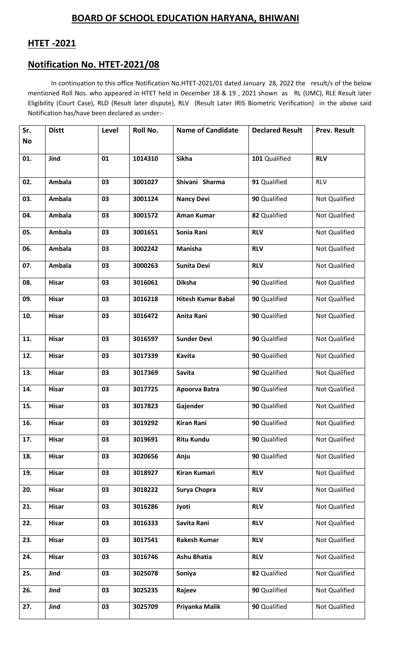## **BOARD OF SCHOOL EDUCATION HARYANA, BHIWANI**

## **HTET -2021**

## **Notification No. HTET-2021/08**

In continuation to this office Notification No.HTET-2021/01 dated January 28, 2022 the result/s of the below mentioned Roll Nos. who appeared in HTET held in December 18 & 19 , 2021 shown as RL (UMC), RLE Result later Eligibility (Court Case), RLD (Result later dispute), RLV (Result Later IRIS Biometric Verification) in the above said Notification has/have been declared as under:-

| Sr.<br>No | <b>Distt</b>  | Level | Roll No. | <b>Name of Candidate</b>  | <b>Declared Result</b> | <b>Prev. Result</b> |
|-----------|---------------|-------|----------|---------------------------|------------------------|---------------------|
|           |               |       |          |                           |                        |                     |
| 01.       | Jind          | 01    | 1014310  | <b>Sikha</b>              | 101 Qualified          | <b>RLV</b>          |
| 02.       | <b>Ambala</b> | 03    | 3001027  | Shivani Sharma            | 91 Qualified           | <b>RLV</b>          |
| 03.       | <b>Ambala</b> | 03    | 3001124  | <b>Nancy Devi</b>         | 90 Qualified           | Not Qualified       |
| 04.       | <b>Ambala</b> | 03    | 3001572  | <b>Aman Kumar</b>         | 82 Qualified           | Not Qualified       |
| 05.       | <b>Ambala</b> | 03    | 3001651  | Sonia Rani                | <b>RLV</b>             | Not Qualified       |
| 06.       | <b>Ambala</b> | 03    | 3002242  | <b>Manisha</b>            | <b>RLV</b>             | Not Qualified       |
| 07.       | <b>Ambala</b> | 03    | 3000263  | <b>Sunita Devi</b>        | <b>RLV</b>             | Not Qualified       |
| 08.       | <b>Hisar</b>  | 03    | 3016061  | <b>Diksha</b>             | 90 Qualified           | Not Qualified       |
| 09.       | <b>Hisar</b>  | 03    | 3016218  | <b>Hitesh Kumar Babal</b> | 90 Qualified           | Not Qualified       |
| 10.       | <b>Hisar</b>  | 03    | 3016472  | Anita Rani                | 90 Qualified           | Not Qualified       |
| 11.       | <b>Hisar</b>  | 03    | 3016597  | <b>Sunder Devi</b>        | 90 Qualified           | Not Qualified       |
| 12.       | <b>Hisar</b>  | 03    | 3017339  | Kavita                    | 90 Qualified           | Not Qualified       |
| 13.       | <b>Hisar</b>  | 03    | 3017369  | <b>Savita</b>             | 90 Qualified           | Not Qualified       |
| 14.       | <b>Hisar</b>  | 03    | 3017725  | Apoorva Batra             | 90 Qualified           | Not Qualified       |
| 15.       | <b>Hisar</b>  | 03    | 3017823  | Gajender                  | 90 Qualified           | Not Qualified       |
| 16.       | <b>Hisar</b>  | 03    | 3019292  | <b>Kiran Rani</b>         | 90 Qualified           | Not Qualified       |
| 17.       | <b>Hisar</b>  | 03    | 3019691  | <b>Ritu Kundu</b>         | 90 Qualified           | Not Qualified       |
| 18.       | <b>Hisar</b>  | 03    | 3020656  | Anju                      | 90 Qualified           | Not Qualified       |
| 19.       | <b>Hisar</b>  | 03    | 3018927  | Kiran Kumari              | <b>RLV</b>             | Not Qualified       |
| 20.       | <b>Hisar</b>  | 03    | 3018222  | Surya Chopra              | <b>RLV</b>             | Not Qualified       |
| 21.       | <b>Hisar</b>  | 03    | 3016286  | Jyoti                     | <b>RLV</b>             | Not Qualified       |
| 22.       | <b>Hisar</b>  | 03    | 3016333  | Savita Rani               | <b>RLV</b>             | Not Qualified       |
| 23.       | <b>Hisar</b>  | 03    | 3017541  | <b>Rakesh Kumar</b>       | <b>RLV</b>             | Not Qualified       |
| 24.       | <b>Hisar</b>  | 03    | 3016746  | <b>Ashu Bhatia</b>        | <b>RLV</b>             | Not Qualified       |
| 25.       | Jind          | 03    | 3025078  | Soniya                    | 82 Qualified           | Not Qualified       |
| 26.       | Jind          | 03    | 3025235  | Rajeev                    | 90 Qualified           | Not Qualified       |
| 27.       | Jind          | 03    | 3025709  | Priyanka Malik            | 90 Qualified           | Not Qualified       |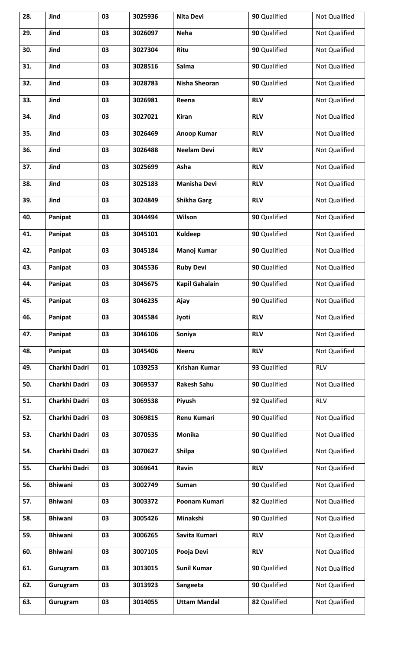| 28. | Jind           | 03 | 3025936 | <b>Nita Devi</b>      | 90 Qualified | Not Qualified        |
|-----|----------------|----|---------|-----------------------|--------------|----------------------|
| 29. | Jind           | 03 | 3026097 | <b>Neha</b>           | 90 Qualified | Not Qualified        |
| 30. | Jind           | 03 | 3027304 | Ritu                  | 90 Qualified | Not Qualified        |
| 31. | Jind           | 03 | 3028516 | Salma                 | 90 Qualified | Not Qualified        |
| 32. | Jind           | 03 | 3028783 | Nisha Sheoran         | 90 Qualified | Not Qualified        |
| 33. | Jind           | 03 | 3026981 | Reena                 | <b>RLV</b>   | Not Qualified        |
| 34. | Jind           | 03 | 3027021 | <b>Kiran</b>          | <b>RLV</b>   | Not Qualified        |
| 35. | Jind           | 03 | 3026469 | <b>Anoop Kumar</b>    | <b>RLV</b>   | Not Qualified        |
| 36. | Jind           | 03 | 3026488 | <b>Neelam Devi</b>    | <b>RLV</b>   | <b>Not Qualified</b> |
| 37. | Jind           | 03 | 3025699 | Asha                  | <b>RLV</b>   | Not Qualified        |
| 38. | Jind           | 03 | 3025183 | <b>Manisha Devi</b>   | <b>RLV</b>   | Not Qualified        |
| 39. | Jind           | 03 | 3024849 | <b>Shikha Garg</b>    | <b>RLV</b>   | Not Qualified        |
| 40. | Panipat        | 03 | 3044494 | Wilson                | 90 Qualified | Not Qualified        |
| 41. | Panipat        | 03 | 3045101 | <b>Kuldeep</b>        | 90 Qualified | Not Qualified        |
| 42. | Panipat        | 03 | 3045184 | Manoj Kumar           | 90 Qualified | Not Qualified        |
| 43. | Panipat        | 03 | 3045536 | <b>Ruby Devi</b>      | 90 Qualified | Not Qualified        |
| 44. | Panipat        | 03 | 3045675 | <b>Kapil Gahalain</b> | 90 Qualified | Not Qualified        |
| 45. | Panipat        | 03 | 3046235 | Ajay                  | 90 Qualified | Not Qualified        |
| 46. | Panipat        | 03 | 3045584 | Jyoti                 | <b>RLV</b>   | Not Qualified        |
| 47. | Panipat        | 03 | 3046106 | Soniya                | <b>RLV</b>   | Not Qualified        |
| 48. | Panipat        | 03 | 3045406 | <b>Neeru</b>          | <b>RLV</b>   | Not Qualified        |
| 49. | Charkhi Dadri  | 01 | 1039253 | <b>Krishan Kumar</b>  | 93 Qualified | <b>RLV</b>           |
| 50. | Charkhi Dadri  | 03 | 3069537 | <b>Rakesh Sahu</b>    | 90 Qualified | Not Qualified        |
| 51. | Charkhi Dadri  | 03 | 3069538 | Piyush                | 92 Qualified | <b>RLV</b>           |
| 52. | Charkhi Dadri  | 03 | 3069815 | <b>Renu Kumari</b>    | 90 Qualified | Not Qualified        |
| 53. | Charkhi Dadri  | 03 | 3070535 | <b>Monika</b>         | 90 Qualified | Not Qualified        |
| 54. | Charkhi Dadri  | 03 | 3070627 | <b>Shilpa</b>         | 90 Qualified | Not Qualified        |
| 55. | Charkhi Dadri  | 03 | 3069641 | Ravin                 | <b>RLV</b>   | Not Qualified        |
| 56. | <b>Bhiwani</b> | 03 | 3002749 | <b>Suman</b>          | 90 Qualified | Not Qualified        |
| 57. | <b>Bhiwani</b> | 03 | 3003372 | Poonam Kumari         | 82 Qualified | Not Qualified        |
| 58. | <b>Bhiwani</b> | 03 | 3005426 | Minakshi              | 90 Qualified | Not Qualified        |
| 59. | <b>Bhiwani</b> | 03 | 3006265 | Savita Kumari         | <b>RLV</b>   | Not Qualified        |
| 60. | <b>Bhiwani</b> | 03 | 3007105 | Pooja Devi            | <b>RLV</b>   | Not Qualified        |
| 61. | Gurugram       | 03 | 3013015 | <b>Sunil Kumar</b>    | 90 Qualified | Not Qualified        |
| 62. | Gurugram       | 03 | 3013923 | Sangeeta              | 90 Qualified | Not Qualified        |
| 63. | Gurugram       | 03 | 3014055 | <b>Uttam Mandal</b>   | 82 Qualified | Not Qualified        |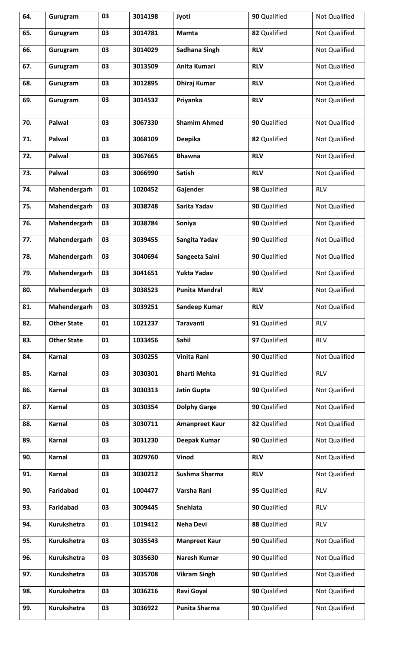| 64. | Gurugram           | 03 | 3014198 | Jyoti                 | 90 Qualified | Not Qualified        |
|-----|--------------------|----|---------|-----------------------|--------------|----------------------|
| 65. | Gurugram           | 03 | 3014781 | <b>Mamta</b>          | 82 Qualified | Not Qualified        |
| 66. | Gurugram           | 03 | 3014029 | Sadhana Singh         | <b>RLV</b>   | Not Qualified        |
| 67. | Gurugram           | 03 | 3013509 | Anita Kumari          | <b>RLV</b>   | Not Qualified        |
| 68. | Gurugram           | 03 | 3012895 | <b>Dhiraj Kumar</b>   | <b>RLV</b>   | <b>Not Qualified</b> |
| 69. | Gurugram           | 03 | 3014532 | Priyanka              | <b>RLV</b>   | Not Qualified        |
| 70. | Palwal             | 03 | 3067330 | <b>Shamim Ahmed</b>   | 90 Qualified | Not Qualified        |
| 71. | Palwal             | 03 | 3068109 | <b>Deepika</b>        | 82 Qualified | Not Qualified        |
| 72. | Palwal             | 03 | 3067665 | <b>Bhawna</b>         | <b>RLV</b>   | Not Qualified        |
| 73. | Palwal             | 03 | 3066990 | <b>Satish</b>         | <b>RLV</b>   | Not Qualified        |
| 74. | Mahendergarh       | 01 | 1020452 | Gajender              | 98 Qualified | <b>RLV</b>           |
| 75. | Mahendergarh       | 03 | 3038748 | Sarita Yadav          | 90 Qualified | Not Qualified        |
| 76. | Mahendergarh       | 03 | 3038784 | Soniya                | 90 Qualified | Not Qualified        |
| 77. | Mahendergarh       | 03 | 3039455 | Sangita Yadav         | 90 Qualified | Not Qualified        |
| 78. | Mahendergarh       | 03 | 3040694 | Sangeeta Saini        | 90 Qualified | Not Qualified        |
| 79. | Mahendergarh       | 03 | 3041651 | Yukta Yadav           | 90 Qualified | Not Qualified        |
| 80. | Mahendergarh       | 03 | 3038523 | <b>Punita Mandral</b> | <b>RLV</b>   | Not Qualified        |
| 81. | Mahendergarh       | 03 | 3039251 | Sandeep Kumar         | <b>RLV</b>   | Not Qualified        |
| 82. | <b>Other State</b> | 01 | 1021237 | <b>Taravanti</b>      | 91 Qualified | <b>RLV</b>           |
| 83. | <b>Other State</b> | 01 | 1033456 | Sahil                 | 97 Qualified | <b>RLV</b>           |
| 84. | Karnal             | 03 | 3030255 | <b>Vinita Rani</b>    | 90 Qualified | <b>Not Qualified</b> |
| 85. | Karnal             | 03 | 3030301 | <b>Bharti Mehta</b>   | 91 Qualified | <b>RLV</b>           |
| 86. | Karnal             | 03 | 3030313 | <b>Jatin Gupta</b>    | 90 Qualified | Not Qualified        |
| 87. | Karnal             | 03 | 3030354 | <b>Dolphy Garge</b>   | 90 Qualified | Not Qualified        |
| 88. | Karnal             | 03 | 3030711 | <b>Amanpreet Kaur</b> | 82 Qualified | Not Qualified        |
| 89. | Karnal             | 03 | 3031230 | <b>Deepak Kumar</b>   | 90 Qualified | Not Qualified        |
| 90. | Karnal             | 03 | 3029760 | Vinod                 | <b>RLV</b>   | Not Qualified        |
| 91. | Karnal             | 03 | 3030212 | Sushma Sharma         | <b>RLV</b>   | Not Qualified        |
| 90. | Faridabad          | 01 | 1004477 | Varsha Rani           | 95 Qualified | <b>RLV</b>           |
| 93. | Faridabad          | 03 | 3009445 | Snehlata              | 90 Qualified | <b>RLV</b>           |
| 94. | <b>Kurukshetra</b> | 01 | 1019412 | <b>Neha Devi</b>      | 88 Qualified | <b>RLV</b>           |
| 95. | Kurukshetra        | 03 | 3035543 | <b>Manpreet Kaur</b>  | 90 Qualified | Not Qualified        |
| 96. | Kurukshetra        | 03 | 3035630 | <b>Naresh Kumar</b>   | 90 Qualified | Not Qualified        |
| 97. | Kurukshetra        | 03 | 3035708 | <b>Vikram Singh</b>   | 90 Qualified | Not Qualified        |
| 98. | Kurukshetra        | 03 | 3036216 | Ravi Goyal            | 90 Qualified | Not Qualified        |
| 99. | Kurukshetra        | 03 | 3036922 | Punita Sharma         | 90 Qualified | Not Qualified        |
|     |                    |    |         |                       |              |                      |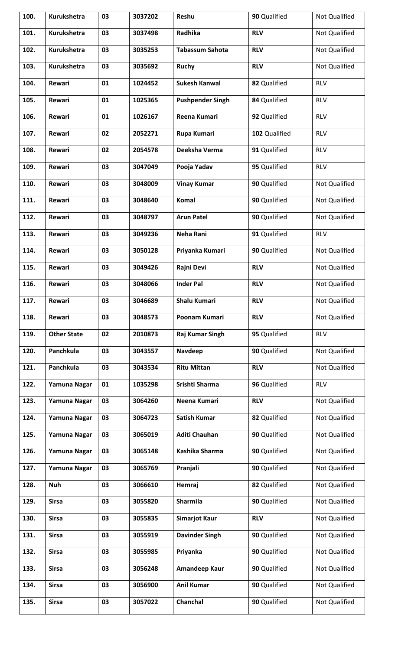| 100. | Kurukshetra        | 03 | 3037202 | Reshu                   | 90 Qualified  | Not Qualified        |
|------|--------------------|----|---------|-------------------------|---------------|----------------------|
| 101. | Kurukshetra        | 03 | 3037498 | Radhika                 | <b>RLV</b>    | Not Qualified        |
| 102. | <b>Kurukshetra</b> | 03 | 3035253 | <b>Tabassum Sahota</b>  | <b>RLV</b>    | Not Qualified        |
| 103. | <b>Kurukshetra</b> | 03 | 3035692 | <b>Ruchy</b>            | <b>RLV</b>    | Not Qualified        |
| 104. | Rewari             | 01 | 1024452 | <b>Sukesh Kanwal</b>    | 82 Qualified  | <b>RLV</b>           |
| 105. | Rewari             | 01 | 1025365 | <b>Pushpender Singh</b> | 84 Qualified  | <b>RLV</b>           |
| 106. | Rewari             | 01 | 1026167 | Reena Kumari            | 92 Qualified  | <b>RLV</b>           |
| 107. | Rewari             | 02 | 2052271 | Rupa Kumari             | 102 Qualified | <b>RLV</b>           |
| 108. | Rewari             | 02 | 2054578 | Deeksha Verma           | 91 Qualified  | <b>RLV</b>           |
| 109. | Rewari             | 03 | 3047049 | Pooja Yadav             | 95 Qualified  | <b>RLV</b>           |
| 110. | <b>Rewari</b>      | 03 | 3048009 | <b>Vinay Kumar</b>      | 90 Qualified  | Not Qualified        |
| 111. | Rewari             | 03 | 3048640 | Komal                   | 90 Qualified  | <b>Not Qualified</b> |
| 112. | Rewari             | 03 | 3048797 | <b>Arun Patel</b>       | 90 Qualified  | Not Qualified        |
| 113. | Rewari             | 03 | 3049236 | Neha Rani               | 91 Qualified  | <b>RLV</b>           |
| 114. | Rewari             | 03 | 3050128 | Priyanka Kumari         | 90 Qualified  | Not Qualified        |
| 115. | <b>Rewari</b>      | 03 | 3049426 | Rajni Devi              | <b>RLV</b>    | Not Qualified        |
| 116. | Rewari             | 03 | 3048066 | <b>Inder Pal</b>        | <b>RLV</b>    | Not Qualified        |
| 117. | Rewari             | 03 | 3046689 | Shalu Kumari            | <b>RLV</b>    | Not Qualified        |
| 118. | Rewari             | 03 | 3048573 | Poonam Kumari           | <b>RLV</b>    | <b>Not Qualified</b> |
| 119. | <b>Other State</b> | 02 | 2010873 | Raj Kumar Singh         | 95 Qualified  | <b>RLV</b>           |
| 120. | Panchkula          | 03 | 3043557 | Navdeep                 | 90 Qualified  | Not Qualified        |
| 121. | Panchkula          | 03 | 3043534 | <b>Ritu Mittan</b>      | <b>RLV</b>    | Not Qualified        |
| 122. | Yamuna Nagar       | 01 | 1035298 | Srishti Sharma          | 96 Qualified  | <b>RLV</b>           |
| 123. | Yamuna Nagar       | 03 | 3064260 | Neena Kumari            | <b>RLV</b>    | Not Qualified        |
| 124. | Yamuna Nagar       | 03 | 3064723 | <b>Satish Kumar</b>     | 82 Qualified  | Not Qualified        |
| 125. | Yamuna Nagar       | 03 | 3065019 | <b>Aditi Chauhan</b>    | 90 Qualified  | Not Qualified        |
| 126. | Yamuna Nagar       | 03 | 3065148 | Kashika Sharma          | 90 Qualified  | Not Qualified        |
| 127. | Yamuna Nagar       | 03 | 3065769 | Pranjali                | 90 Qualified  | Not Qualified        |
| 128. | <b>Nuh</b>         | 03 | 3066610 | Hemraj                  | 82 Qualified  | Not Qualified        |
| 129. | <b>Sirsa</b>       | 03 | 3055820 | <b>Sharmila</b>         | 90 Qualified  | Not Qualified        |
| 130. | <b>Sirsa</b>       | 03 | 3055835 | <b>Simarjot Kaur</b>    | <b>RLV</b>    | Not Qualified        |
| 131. | <b>Sirsa</b>       | 03 | 3055919 | <b>Davinder Singh</b>   | 90 Qualified  | <b>Not Qualified</b> |
| 132. | <b>Sirsa</b>       | 03 | 3055985 | Priyanka                | 90 Qualified  | Not Qualified        |
| 133. | <b>Sirsa</b>       | 03 | 3056248 | Amandeep Kaur           | 90 Qualified  | Not Qualified        |
| 134. | <b>Sirsa</b>       | 03 | 3056900 | <b>Anil Kumar</b>       | 90 Qualified  | Not Qualified        |
| 135. | <b>Sirsa</b>       | 03 | 3057022 | Chanchal                | 90 Qualified  | Not Qualified        |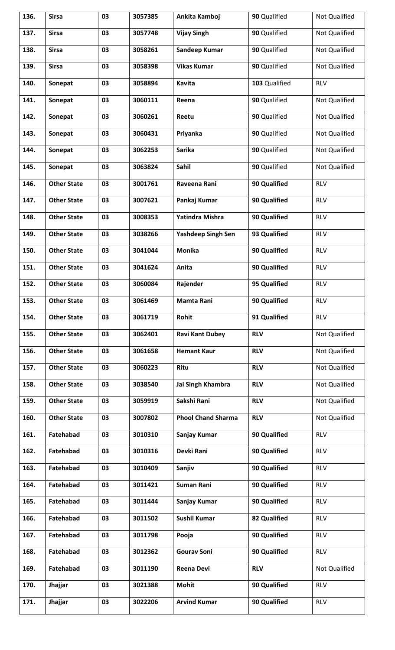| 136. | <b>Sirsa</b>       | 03 | 3057385 | Ankita Kamboj             | 90 Qualified        | Not Qualified |
|------|--------------------|----|---------|---------------------------|---------------------|---------------|
| 137. | <b>Sirsa</b>       | 03 | 3057748 | <b>Vijay Singh</b>        | 90 Qualified        | Not Qualified |
| 138. | <b>Sirsa</b>       | 03 | 3058261 | Sandeep Kumar             | 90 Qualified        | Not Qualified |
| 139. | <b>Sirsa</b>       | 03 | 3058398 | <b>Vikas Kumar</b>        | 90 Qualified        | Not Qualified |
| 140. | Sonepat            | 03 | 3058894 | Kavita                    | 103 Qualified       | <b>RLV</b>    |
| 141. | Sonepat            | 03 | 3060111 | Reena                     | 90 Qualified        | Not Qualified |
| 142. | Sonepat            | 03 | 3060261 | Reetu                     | 90 Qualified        | Not Qualified |
| 143. | Sonepat            | 03 | 3060431 | Priyanka                  | 90 Qualified        | Not Qualified |
| 144. | Sonepat            | 03 | 3062253 | <b>Sarika</b>             | 90 Qualified        | Not Qualified |
| 145. | Sonepat            | 03 | 3063824 | Sahil                     | 90 Qualified        | Not Qualified |
| 146. | <b>Other State</b> | 03 | 3001761 | Raveena Rani              | 90 Qualified        | <b>RLV</b>    |
| 147. | <b>Other State</b> | 03 | 3007621 | Pankaj Kumar              | 90 Qualified        | <b>RLV</b>    |
| 148. | <b>Other State</b> | 03 | 3008353 | Yatindra Mishra           | 90 Qualified        | <b>RLV</b>    |
| 149. | <b>Other State</b> | 03 | 3038266 | <b>Yashdeep Singh Sen</b> | 93 Qualified        | <b>RLV</b>    |
| 150. | <b>Other State</b> | 03 | 3041044 | Monika                    | 90 Qualified        | <b>RLV</b>    |
| 151. | <b>Other State</b> | 03 | 3041624 | Anita                     | 90 Qualified        | <b>RLV</b>    |
| 152. | <b>Other State</b> | 03 | 3060084 | Rajender                  | 95 Qualified        | <b>RLV</b>    |
| 153. | <b>Other State</b> | 03 | 3061469 | Mamta Rani                | 90 Qualified        | <b>RLV</b>    |
| 154. | <b>Other State</b> | 03 | 3061719 | Rohit                     | 91 Qualified        | <b>RLV</b>    |
| 155. | <b>Other State</b> | 03 | 3062401 | <b>Ravi Kant Dubey</b>    | <b>RLV</b>          | Not Qualified |
| 156. | <b>Other State</b> | 03 | 3061658 | <b>Hemant Kaur</b>        | <b>RLV</b>          | Not Qualified |
| 157. | <b>Other State</b> | 03 | 3060223 | Ritu                      | <b>RLV</b>          | Not Qualified |
| 158. | <b>Other State</b> | 03 | 3038540 | Jai Singh Khambra         | <b>RLV</b>          | Not Qualified |
| 159. | <b>Other State</b> | 03 | 3059919 | Sakshi Rani               | <b>RLV</b>          | Not Qualified |
| 160. | <b>Other State</b> | 03 | 3007802 | <b>Phool Chand Sharma</b> | <b>RLV</b>          | Not Qualified |
| 161. | Fatehabad          | 03 | 3010310 | Sanjay Kumar              | 90 Qualified        | <b>RLV</b>    |
| 162. | Fatehabad          | 03 | 3010316 | Devki Rani                | 90 Qualified        | <b>RLV</b>    |
| 163. | Fatehabad          | 03 | 3010409 | Sanjiv                    | 90 Qualified        | <b>RLV</b>    |
| 164. | Fatehabad          | 03 | 3011421 | <b>Suman Rani</b>         | <b>90 Qualified</b> | <b>RLV</b>    |
| 165. | Fatehabad          | 03 | 3011444 | Sanjay Kumar              | 90 Qualified        | <b>RLV</b>    |
| 166. | Fatehabad          | 03 | 3011502 | <b>Sushil Kumar</b>       | 82 Qualified        | <b>RLV</b>    |
| 167. | Fatehabad          | 03 | 3011798 | Pooja                     | 90 Qualified        | <b>RLV</b>    |
| 168. | Fatehabad          | 03 | 3012362 | <b>Gourav Soni</b>        | 90 Qualified        | <b>RLV</b>    |
| 169. | Fatehabad          | 03 | 3011190 | <b>Reena Devi</b>         | <b>RLV</b>          | Not Qualified |
| 170. | Jhajjar            | 03 | 3021388 | <b>Mohit</b>              | 90 Qualified        | <b>RLV</b>    |
| 171. | Jhajjar            | 03 | 3022206 | <b>Arvind Kumar</b>       | 90 Qualified        | <b>RLV</b>    |